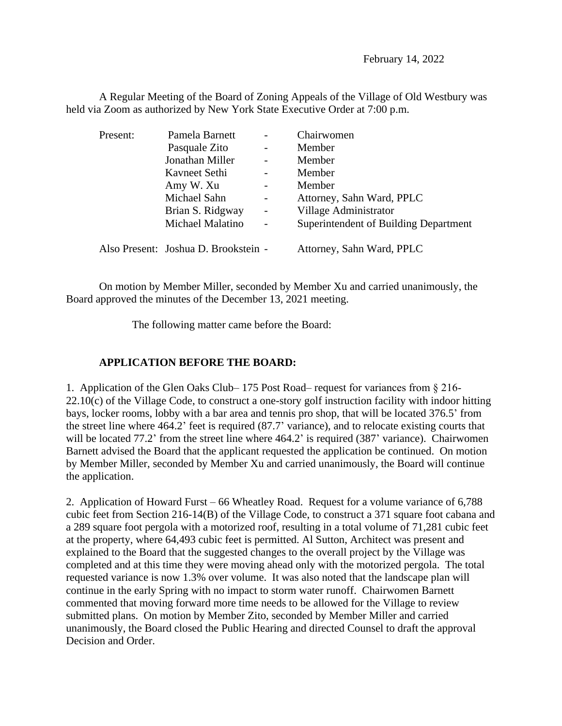February 14, 2022

A Regular Meeting of the Board of Zoning Appeals of the Village of Old Westbury was held via Zoom as authorized by New York State Executive Order at 7:00 p.m.

| Present: | Pamela Barnett                       |                          | Chairwomen                            |
|----------|--------------------------------------|--------------------------|---------------------------------------|
|          | Pasquale Zito                        | $\blacksquare$           | Member                                |
|          | Jonathan Miller                      | $\overline{a}$           | Member                                |
|          | Kavneet Sethi                        |                          | Member                                |
|          | Amy W. Xu                            |                          | Member                                |
|          | Michael Sahn                         | $\overline{\phantom{0}}$ | Attorney, Sahn Ward, PPLC             |
|          | Brian S. Ridgway                     | $\blacksquare$           | Village Administrator                 |
|          | Michael Malatino                     | $\overline{\phantom{a}}$ | Superintendent of Building Department |
|          | Also Present: Joshua D. Brookstein - |                          | Attorney, Sahn Ward, PPLC             |

On motion by Member Miller, seconded by Member Xu and carried unanimously, the Board approved the minutes of the December 13, 2021 meeting.

The following matter came before the Board:

## **APPLICATION BEFORE THE BOARD:**

1. Application of the Glen Oaks Club– 175 Post Road– request for variances from § 216-  $22.10(c)$  of the Village Code, to construct a one-story golf instruction facility with indoor hitting bays, locker rooms, lobby with a bar area and tennis pro shop, that will be located 376.5' from the street line where 464.2' feet is required (87.7' variance), and to relocate existing courts that will be located 77.2' from the street line where 464.2' is required (387' variance). Chairwomen Barnett advised the Board that the applicant requested the application be continued. On motion by Member Miller, seconded by Member Xu and carried unanimously, the Board will continue the application.

2. Application of Howard Furst – 66 Wheatley Road. Request for a volume variance of 6,788 cubic feet from Section 216-14(B) of the Village Code, to construct a 371 square foot cabana and a 289 square foot pergola with a motorized roof, resulting in a total volume of 71,281 cubic feet at the property, where 64,493 cubic feet is permitted. Al Sutton, Architect was present and explained to the Board that the suggested changes to the overall project by the Village was completed and at this time they were moving ahead only with the motorized pergola. The total requested variance is now 1.3% over volume. It was also noted that the landscape plan will continue in the early Spring with no impact to storm water runoff. Chairwomen Barnett commented that moving forward more time needs to be allowed for the Village to review submitted plans. On motion by Member Zito, seconded by Member Miller and carried unanimously, the Board closed the Public Hearing and directed Counsel to draft the approval Decision and Order.